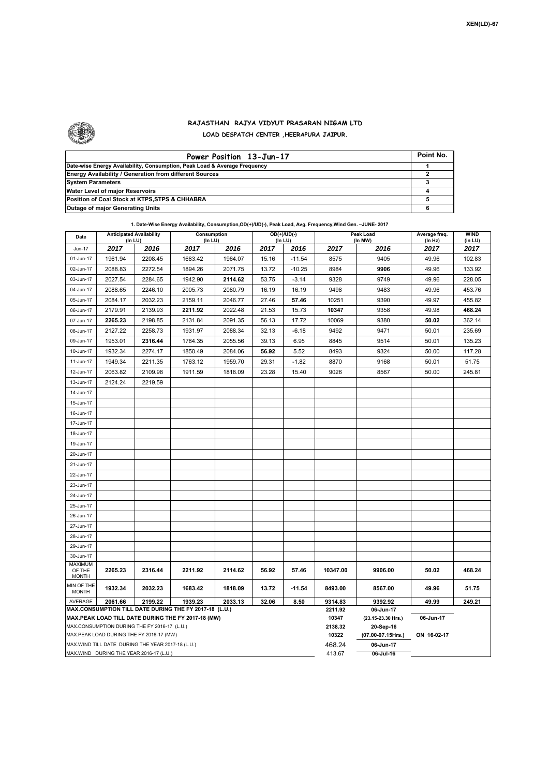

## **RAJASTHAN RAJYA VIDYUT PRASARAN NIGAM LTD LOAD DESPATCH CENTER ,HEERAPURA JAIPUR.**

| Power Position 13-Jun-17                                                  | Point No. |
|---------------------------------------------------------------------------|-----------|
| Date-wise Energy Availability, Consumption, Peak Load & Average Frequency |           |
| <b>Energy Availability / Generation from different Sources</b>            |           |
| <b>System Parameters</b>                                                  |           |
| Water Level of major Reservoirs                                           |           |
| Position of Coal Stock at KTPS, STPS & CHHABRA                            |           |
| <b>Outage of major Generating Units</b>                                   |           |

## **1. Date-Wise Energy Availability, Consumption,OD(+)/UD(-), Peak Load, Avg. Frequency,Wind Gen. –JUNE- 2017**

| Date                                                                                          | <b>Anticipated Availability</b><br>(In LU) |         | Consumption<br>(In LU)                                 |         | OD(+)/UD(-)<br>(In LU)              |                  | Peak Load<br>(In MW) |                    | Average freq.<br>(In Hz) | WIND<br>(in LU) |  |
|-----------------------------------------------------------------------------------------------|--------------------------------------------|---------|--------------------------------------------------------|---------|-------------------------------------|------------------|----------------------|--------------------|--------------------------|-----------------|--|
| Jun-17                                                                                        | 2017                                       | 2016    | 2017                                                   | 2016    | 2017                                | 2016             | 2017                 | 2016               | 2017                     | 2017            |  |
| 01-Jun-17                                                                                     | 1961.94                                    | 2208.45 | 1683.42                                                | 1964.07 | 15.16                               | $-11.54$         | 8575                 | 9405               | 49.96                    | 102.83          |  |
| 02-Jun-17                                                                                     | 2088.83                                    | 2272.54 | 1894.26                                                | 2071.75 | 13.72                               | $-10.25$         | 8984                 | 9906               | 49.96                    | 133.92          |  |
| 03-Jun-17                                                                                     | 2027.54                                    | 2284.65 | 1942.90                                                | 2114.62 | 53.75                               | $-3.14$          | 9328                 | 9749               | 49.96                    | 228.05          |  |
| 04-Jun-17                                                                                     | 2088.65                                    | 2246.10 | 2005.73                                                | 2080.79 | 16.19                               | 16.19            | 9498                 | 9483               | 49.96                    | 453.76          |  |
| 05-Jun-17                                                                                     | 2084.17                                    | 2032.23 | 2159.11                                                | 2046.77 | 27.46                               | 57.46            | 10251                | 9390               | 49.97                    | 455.82          |  |
| 06-Jun-17                                                                                     | 2179.91                                    | 2139.93 | 2211.92                                                | 2022.48 | 21.53                               | 15.73            | 10347                | 9358               | 49.98                    | 468.24          |  |
| 07-Jun-17                                                                                     | 2265.23                                    | 2198.85 | 2131.84                                                | 2091.35 | 56.13                               | 17.72            | 10069                | 9380               | 50.02                    | 362.14          |  |
| 08-Jun-17                                                                                     | 2127.22                                    | 2258.73 | 1931.97                                                | 2088.34 | 32.13                               | $-6.18$          | 9492                 | 9471               | 50.01                    | 235.69          |  |
| 09-Jun-17                                                                                     | 1953.01                                    | 2316.44 | 1784.35                                                | 2055.56 | 39.13                               | 6.95             | 8845                 | 9514               | 50.01                    | 135.23          |  |
| 10-Jun-17                                                                                     | 1932.34                                    | 2274.17 | 1850.49                                                | 2084.06 | 56.92                               | 5.52             | 8493                 | 9324               | 50.00                    | 117.28          |  |
| 11-Jun-17                                                                                     | 1949.34                                    | 2211.35 | 1763.12                                                | 1959.70 | 29.31                               | $-1.82$          | 8870                 | 9168               | 50.01                    | 51.75           |  |
| 12-Jun-17                                                                                     | 2063.82                                    | 2109.98 | 1911.59                                                | 1818.09 | 23.28                               | 15.40            | 9026                 | 8567               | 50.00                    | 245.81          |  |
| 13-Jun-17                                                                                     | 2124.24                                    | 2219.59 |                                                        |         |                                     |                  |                      |                    |                          |                 |  |
| 14-Jun-17                                                                                     |                                            |         |                                                        |         |                                     |                  |                      |                    |                          |                 |  |
| 15-Jun-17                                                                                     |                                            |         |                                                        |         |                                     |                  |                      |                    |                          |                 |  |
| 16-Jun-17                                                                                     |                                            |         |                                                        |         |                                     |                  |                      |                    |                          |                 |  |
| 17-Jun-17                                                                                     |                                            |         |                                                        |         |                                     |                  |                      |                    |                          |                 |  |
| 18-Jun-17                                                                                     |                                            |         |                                                        |         |                                     |                  |                      |                    |                          |                 |  |
| 19-Jun-17                                                                                     |                                            |         |                                                        |         |                                     |                  |                      |                    |                          |                 |  |
| 20-Jun-17                                                                                     |                                            |         |                                                        |         |                                     |                  |                      |                    |                          |                 |  |
| 21-Jun-17                                                                                     |                                            |         |                                                        |         |                                     |                  |                      |                    |                          |                 |  |
| 22-Jun-17                                                                                     |                                            |         |                                                        |         |                                     |                  |                      |                    |                          |                 |  |
| 23-Jun-17                                                                                     |                                            |         |                                                        |         |                                     |                  |                      |                    |                          |                 |  |
| 24-Jun-17                                                                                     |                                            |         |                                                        |         |                                     |                  |                      |                    |                          |                 |  |
| 25-Jun-17                                                                                     |                                            |         |                                                        |         |                                     |                  |                      |                    |                          |                 |  |
| 26-Jun-17                                                                                     |                                            |         |                                                        |         |                                     |                  |                      |                    |                          |                 |  |
| 27-Jun-17                                                                                     |                                            |         |                                                        |         |                                     |                  |                      |                    |                          |                 |  |
| 28-Jun-17                                                                                     |                                            |         |                                                        |         |                                     |                  |                      |                    |                          |                 |  |
| 29-Jun-17                                                                                     |                                            |         |                                                        |         |                                     |                  |                      |                    |                          |                 |  |
| 30-Jun-17                                                                                     |                                            |         |                                                        |         |                                     |                  |                      |                    |                          |                 |  |
| <b>MAXIMUM</b><br>OF THE                                                                      | 2265.23                                    | 2316.44 | 2211.92                                                | 2114.62 | 56.92                               | 57.46            | 10347.00             | 9906.00            | 50.02                    | 468.24          |  |
| <b>MONTH</b>                                                                                  |                                            |         |                                                        |         |                                     |                  |                      |                    |                          |                 |  |
| MIN OF THE<br><b>MONTH</b>                                                                    | 1932.34                                    | 2032.23 | 1683.42                                                | 1818.09 | 13.72                               | $-11.54$         | 8493.00              | 8567.00            | 49.96                    | 51.75           |  |
| AVERAGE                                                                                       | 2061.66                                    | 2199.22 | 1939.23                                                | 2033.13 | 32.06                               | 8.50             | 9314.83              | 9392.92            | 49.99                    | 249.21          |  |
|                                                                                               |                                            |         | MAX.CONSUMPTION TILL DATE DURING THE FY 2017-18 (L.U.) |         |                                     |                  | 2211.92              | 06-Jun-17          |                          |                 |  |
| MAX.PEAK LOAD TILL DATE DURING THE FY 2017-18 (MW)                                            |                                            |         |                                                        |         |                                     |                  | 10347                | (23.15-23.30 Hrs.) | 06-Jun-17                |                 |  |
| MAX.CONSUMPTION DURING THE FY 2016-17 (L.U.)                                                  |                                            |         |                                                        |         |                                     | 2138.32<br>10322 | 20-Sep-16            | ON 16-02-17        |                          |                 |  |
| MAX.PEAK LOAD DURING THE FY 2016-17 (MW)<br>MAX.WIND TILL DATE DURING THE YEAR 2017-18 (L.U.) |                                            |         |                                                        | 468.24  | $(07.00 - 07.15$ Hrs.)<br>06-Jun-17 |                  |                      |                    |                          |                 |  |
|                                                                                               | MAX.WIND DURING THE YEAR 2016-17 (L.U.)    |         |                                                        |         |                                     |                  | 413.67               | 06-Jul-16          |                          |                 |  |
|                                                                                               |                                            |         |                                                        |         |                                     |                  |                      |                    |                          |                 |  |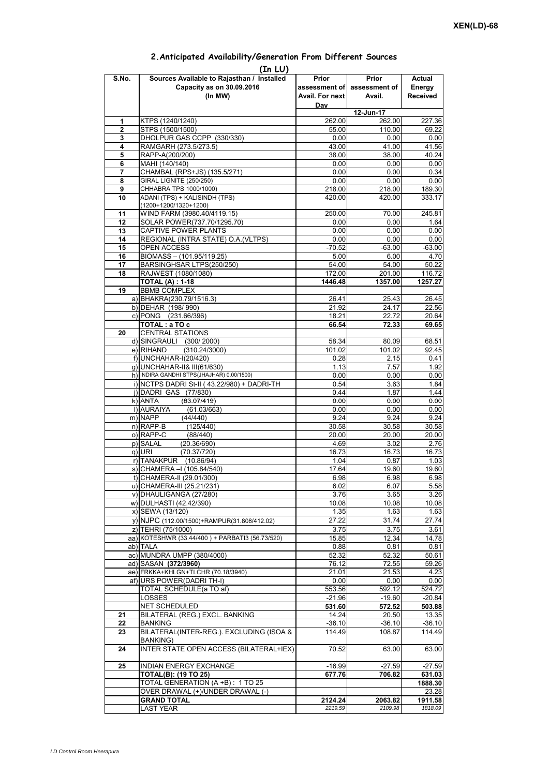|                | (In LU)                                                 |                    |                             |                    |
|----------------|---------------------------------------------------------|--------------------|-----------------------------|--------------------|
| S.No.          | Sources Available to Rajasthan / Installed              | Prior              | Prior                       | Actual             |
|                | Capacity as on 30.09.2016                               |                    | assessment of assessment of | Energy             |
|                | (In MW)                                                 | Avail. For next    | Avail.                      | <b>Received</b>    |
|                |                                                         | Day                |                             |                    |
|                |                                                         |                    | 12-Jun-17                   |                    |
| 1              | KTPS (1240/1240)                                        | 262.00             | 262.00                      | 227.36             |
| $\overline{2}$ | STPS (1500/1500)                                        | 55.00              | 110.00                      | 69.22              |
| 3              | DHOLPUR GAS CCPP (330/330)                              | 0.00               | 0.00                        | 0.00               |
| 4              | RAMGARH (273.5/273.5)                                   | 43.00              | 41.00                       | 41.56              |
| 5              | RAPP-A(200/200)                                         | 38.00              | 38.00                       | 40.24              |
| 6              | MAHI (140/140)                                          | 0.00               | 0.00                        | 0.00               |
| 7              | CHAMBAL (RPS+JS) (135.5/271)                            | 0.00               | 0.00                        | 0.34               |
| 8              | <b>GIRAL LIGNITE (250/250)</b>                          | 0.00               | 0.00                        | 0.00               |
| 9              | CHHABRA TPS 1000/1000)<br>ADANI (TPS) + KALISINDH (TPS) | 218.00             | 218.00                      | 189.30             |
| 10             | (1200+1200/1320+1200)                                   | 420.00             | 420.00                      | 333.17             |
| 11             | WIND FARM (3980.40/4119.15)                             | 250.00             | 70.00                       | 245.81             |
| 12             | SOLAR POWER(737.70/1295.70)                             | 0.00               | 0.00                        | 1.64               |
| 13             | CAPTIVE POWER PLANTS                                    | 0.00               | 0.00                        | 0.00               |
| 14             | REGIONAL (INTRA STATE) O.A. (VLTPS)                     | 0.00               | 0.00                        | 0.00               |
| 15             | OPEN ACCESS                                             | $-70.52$           | $-63.00$                    | $-63.00$           |
| 16             | BIOMASS - (101.95/119.25)                               | 5.00               | 6.00                        | 4.70               |
| 17             | BARSINGHSAR LTPS(250/250)                               | 54.00              | 54.00                       | 50.22              |
| 18             | RAJWEST (1080/1080)                                     | 172.00             | 201.00                      | 116.72             |
|                | <b>TOTAL (A): 1-18</b>                                  | 1446.48            | 1357.00                     | 1257.27            |
| 19             | <b>BBMB COMPLEX</b>                                     |                    |                             |                    |
|                | a) BHAKRA(230.79/1516.3)                                | 26.41              | 25.43                       | 26.45              |
|                | b) DEHAR (198/990)                                      | 21.92              | 24.17                       | 22.56              |
|                | c) PONG (231.66/396)                                    | 18.21              | 22.72                       | 20.64              |
|                | TOTAL: a TO c                                           | 66.54              | 72.33                       | 69.65              |
| 20             | <b>CENTRAL STATIONS</b>                                 |                    |                             |                    |
|                | d) SINGRAULI (300/2000)                                 | 58.34              | 80.09                       | 68.51              |
|                | e) RIHAND<br>(310.24/3000)                              | 101.02             | 101.02                      | 92.45              |
|                | f) UNCHAHAR-I(20/420)                                   | 0.28               | 2.15                        | 0.41               |
|                | g) UNCHAHAR-II& III(61/630)                             | 1.13               | 7.57                        | 1.92               |
|                | h) INDIRA GANDHI STPS(JHAJHAR) 0.00/1500)               | 0.00               | 0.00                        | 0.00               |
|                | i) NCTPS DADRI St-II (43.22/980) + DADRI-TH             | 0.54               | 3.63                        | 1.84               |
|                | j) DADRI GAS (77/830)                                   | 0.44               | 1.87                        | 1.44               |
|                | $k)$ ANTA<br>(83.07/419)                                | 0.00               | 0.00                        | 0.00               |
|                | I) AURAIYA<br>(61.03/663)                               | 0.00               | 0.00                        | 0.00               |
|                | m) NAPP<br>(44/440)                                     | 9.24               | 9.24                        | 9.24               |
|                | $n)$ RAPP-B<br>(125/440)                                | 30.58              | 30.58                       | 30.58              |
|                | o) RAPP-C<br>(88/440)                                   | 20.00              | 20.00                       | 20.00              |
|                | p) SALAL<br>(20.36/690)                                 | 4.69               | 3.02                        | 2.76               |
|                | q) URI<br>(70.37/720)                                   | 16.73              | 16.73                       | 16.73              |
|                | r) TANAKPUR (10.86/94)                                  | 1.04               | 0.87                        | 1.03               |
|                | s) CHAMERA - (105.84/540)                               | 17.64              | 19.60                       | 19.60              |
|                | t) CHAMERA-II (29.01/300)                               | 6.98               | 6.98                        | 6.98               |
|                | u) CHAMERA-III (25.21/231)                              | 6.02               | 6.07                        | 5.58               |
|                | v) DHAULIGANGA (27/280)                                 | 3.76               | 3.65                        | 3.26               |
|                | w) DULHASTI (42.42/390)                                 | 10.08              | 10.08                       | 10.08              |
|                | x) SEWA (13/120)                                        | 1.35               | 1.63                        | 1.63               |
|                | y) NJPC (112.00/1500) + RAMPUR(31.808/412.02)           | 27.22              | 31.74                       | 27.74              |
|                | z) TEHRI (75/1000)                                      | 3.75               | 3.75                        | 3.61               |
|                | aa) KOTESHWR (33.44/400) + PARBATI3 (56.73/520)         | 15.85              | 12.34                       | 14.78              |
|                | ab) TALA                                                | 0.88               | 0.81                        | 0.81               |
|                | ac) MUNDRA UMPP (380/4000)                              | 52.32              | 52.32                       | 50.61              |
|                | ad) SASAN (372/3960)                                    | 76.12              | 72.55                       | 59.26              |
|                | ae) FRKKA+KHLGN+TLCHR (70.18/3940)                      | 21.01              | 21.53                       | 4.23               |
|                | af) URS POWER(DADRI TH-I)                               | 0.00               | 0.00                        | 0.00               |
|                | TOTAL SCHEDULE(a TO af)                                 | 553.56             | 592.12                      | 524.72             |
|                | LOSSES                                                  | $-21.96$           | $-19.60$                    | $-20.84$           |
|                | NET SCHEDULED                                           | 531.60             | 572.52                      | 503.88             |
| 21             | BILATERAL (REG.) EXCL. BANKING                          | 14.24              | 20.50                       | 13.35              |
| 22             | <b>BANKING</b>                                          | $-36.10$           | $-36.10$                    | $-36.10$           |
| 23             | BILATERAL(INTER-REG.). EXCLUDING (ISOA &                | 114.49             | 108.87                      | 114.49             |
| 24             | BANKING)<br>INTER STATE OPEN ACCESS (BILATERAL+IEX)     | 70.52              | 63.00                       | 63.00              |
|                |                                                         |                    |                             |                    |
| 25             | INDIAN ENERGY EXCHANGE                                  | $-16.99$           | $-27.59$                    | $-27.59$           |
|                | <b>TOTAL(B): (19 TO 25)</b>                             | 677.76             | 706.82                      | 631.03             |
|                | TOTAL GENERATION (A +B) : 1 TO 25                       |                    |                             | 1888.30            |
|                | OVER DRAWAL (+)/UNDER DRAWAL (-)                        |                    |                             | 23.28              |
|                | <b>GRAND TOTAL</b><br><b>LAST YEAR</b>                  | 2124.24<br>2219.59 | 2063.82<br>2109.98          | 1911.58<br>1818.09 |
|                |                                                         |                    |                             |                    |

## **2.Anticipated Availability/Generation From Different Sources**